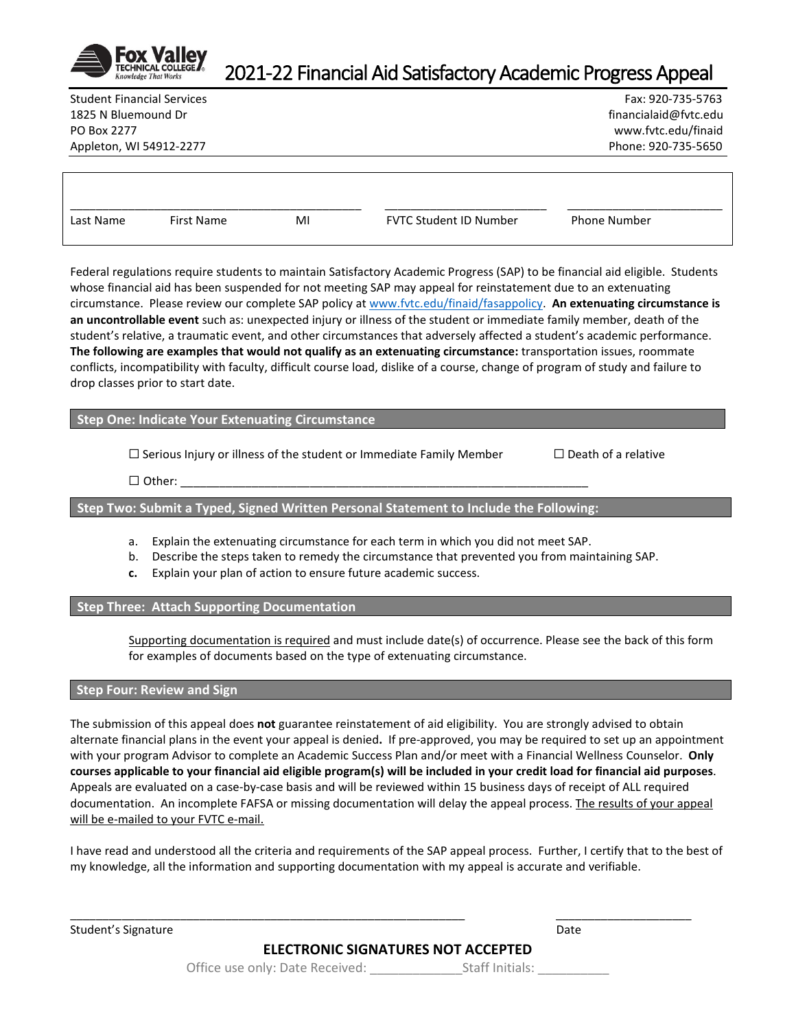

## 2021-22 Financial Aid Satisfactory Academic Progress Appeal

1825 N Bluemound Dr financialaid@fvtc.edu PO Box 2277 www.fvtc.edu/finaid Appleton, WI 54912-2277 Phone: 920-735-5650

Student Financial Services Fax: 920-735-5763

| ∟ast<br>Name | irst<br>Name | Mi | _______________<br>_____<br>Student ID Number<br>EVTC | ____________<br>Phone Number |  |
|--------------|--------------|----|-------------------------------------------------------|------------------------------|--|

Federal regulations require students to maintain Satisfactory Academic Progress (SAP) to be financial aid eligible. Students whose financial aid has been suspended for not meeting SAP may appeal for reinstatement due to an extenuating circumstance. Please review our complete SAP policy at [www.fvtc.edu/finaid/fasappolicy.](http://www.fvtc.edu/finaid/fasappolicy) **An extenuating circumstance is an uncontrollable event** such as: unexpected injury or illness of the student or immediate family member, death of the student's relative, a traumatic event, and other circumstances that adversely affected a student's academic performance. **The following are examples that would not qualify as an extenuating circumstance:** transportation issues, roommate conflicts, incompatibility with faculty, difficult course load, dislike of a course, change of program of study and failure to drop classes prior to start date.

**Step One: Indicate Your Extenuating Circumstance** 

☐ Serious Injury or illness of the student or Immediate Family Member ☐ Death of a relative

☐ Other: \_\_\_\_\_\_\_\_\_\_\_\_\_\_\_\_\_\_\_\_\_\_\_\_\_\_\_\_\_\_\_\_\_\_\_\_\_\_\_\_\_\_\_\_\_\_\_\_\_\_\_\_\_\_\_\_\_\_\_\_\_\_\_

**Step Two: Submit a Typed, Signed Written Personal Statement to Include the Following:**

- a. Explain the extenuating circumstance for each term in which you did not meet SAP.
- b. Describe the steps taken to remedy the circumstance that prevented you from maintaining SAP.
- **c.** Explain your plan of action to ensure future academic success.

**Step Three: Attach Supporting Documentation**

Supporting documentation is required and must include date(s) of occurrence. Please see the back of this form for examples of documents based on the type of extenuating circumstance.

## **Step Four: Review and Sign**

The submission of this appeal does **not** guarantee reinstatement of aid eligibility. You are strongly advised to obtain alternate financial plans in the event your appeal is denied**.** If pre-approved, you may be required to set up an appointment with your program Advisor to complete an Academic Success Plan and/or meet with a Financial Wellness Counselor. **Only courses applicable to your financial aid eligible program(s) will be included in your credit load for financial aid purposes**. Appeals are evaluated on a case-by-case basis and will be reviewed within 15 business days of receipt of ALL required documentation. An incomplete FAFSA or missing documentation will delay the appeal process. The results of your appeal will be e-mailed to your FVTC e-mail.

I have read and understood all the criteria and requirements of the SAP appeal process. Further, I certify that to the best of my knowledge, all the information and supporting documentation with my appeal is accurate and verifiable.

Student's Signature Date Date of the Date of the Date of the Date of the Date of the Date of the Date of the Date of the Date of the Date of the Date of the Date of the Date of the Date of the Date of the Date of the Date

**ELECTRONIC SIGNATURES NOT ACCEPTED**

\_\_\_\_\_\_\_\_\_\_\_\_\_\_\_\_\_\_\_\_\_\_\_\_\_\_\_\_\_\_\_\_\_\_\_\_\_\_\_\_\_\_\_\_\_\_\_\_\_\_\_\_\_\_\_\_\_\_\_\_\_ \_\_\_\_\_\_\_\_\_\_\_\_\_\_\_\_\_\_\_\_\_

Office use only: Date Received: \_\_\_\_\_\_\_\_\_\_\_\_\_Staff Initials: \_\_\_\_\_\_\_\_\_\_